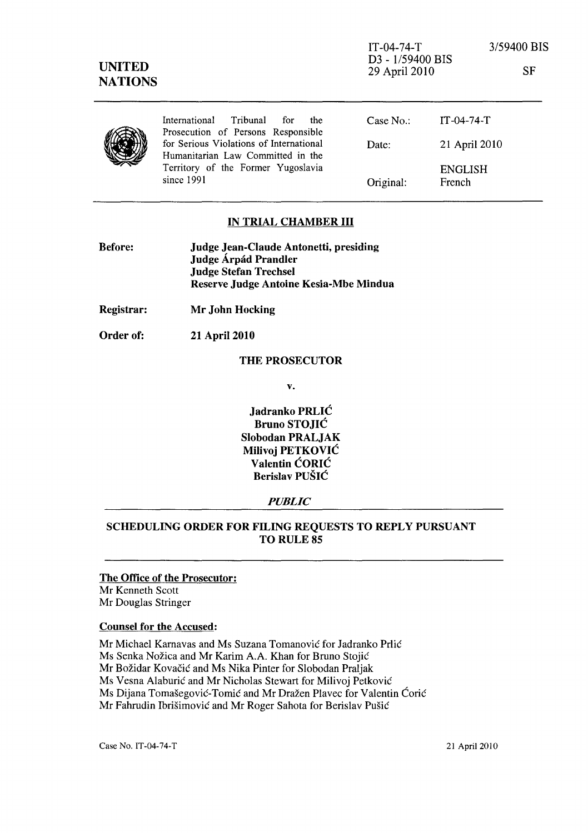IT-04-74-T D3 - 1/59400 BIS 29 April 2010



### IN TRIAL CHAMBER **III**

| <b>Before:</b> | <b>Judge Jean-Claude Antonetti, presiding</b> |
|----------------|-----------------------------------------------|
|                | Judge Árpád Prandler                          |
|                | Judge Stefan Trechsel                         |
|                | Reserve Judge Antoine Kesia-Mbe Mindua        |

Registrar: Mr John Hocking

Order of: 21 April 2010

### THE PROSECUTOR

v.

Jadranko PRLIC Bruno STOJIC Slobodan PRALJAK Milivoj PETKOVIC Valentin CORIC Berislav PUSIC

### *PUBLIC*

# SCHEDULING ORDER FOR FILING REQUESTS TO REPLY PURSUANT TO RULE 85

The Office of the Prosecutor: Mr Kenneth Scott Mr Douglas Stringer

#### Counsel for the Accused:

Mr Michael Karnavas and Ms Suzana Tomanovic for ladranko Prlic Ms Senka Nožica and Mr Karim A.A. Khan for Bruno Stojić Mr Božidar Kovačić and Ms Nika Pinter for Slobodan Praljak Ms Vesna Alaburic and Mr Nicholas Stewart for Milivoj Petkovic Ms Dijana Tomašegović-Tomić and Mr Dražen Plavec for Valentin Ćorić Mr Fahrudin Ibrišimović and Mr Roger Sahota for Berislav Pušić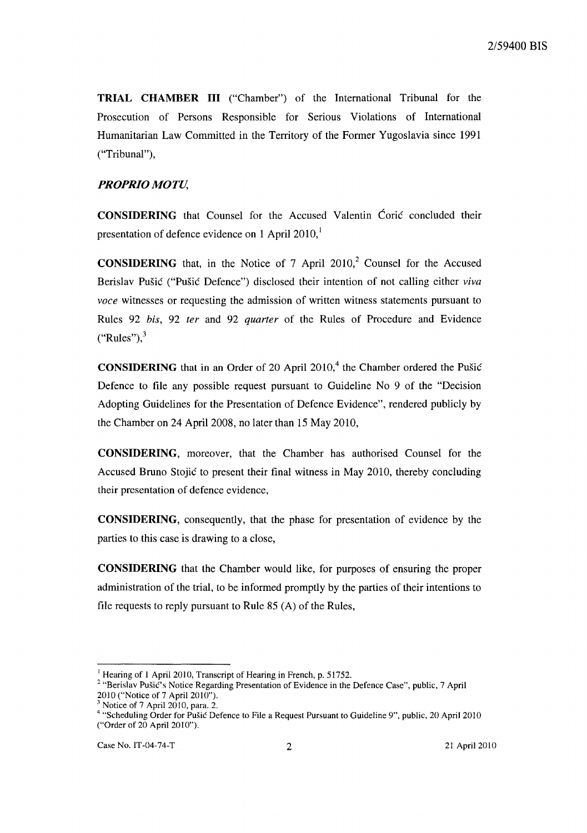**TRIAL CHAMBER III** ("Chamber") of the International Tribunal for the Prosecution of Persons Responsible for Serious Violations of International Humanitarian Law Committed in the Territory of the Former Yugoslavia since 1991 ("Tribunal"),

## *PROPRIO MOTU,*

**CONSIDERING** that Counsel for the Accused Valentin Corie concluded their presentation of defence evidence on 1 April  $2010<sup>1</sup>$ 

**CONSIDERING** that, in the Notice of 7 April 2010,<sup>2</sup> Counsel for the Accused Berislav Pušić ("Pušić Defence") disclosed their intention of not calling either *viva voce* witnesses or requesting the admission of written witness statements pursuant to Rules 92 *his,* 92 *ter* and 92 *quarter* of the Rules of Procedure and Evidence  $("Rules")$ ,  $3$ 

**CONSIDERING** that in an Order of 20 April 2010,<sup>4</sup> the Chamber ordered the Pušić Defence to file any possible request pursuant to Guideline No 9 of the "Decision Adopting Guidelines for the Presentation of Defence Evidence", rendered publicly by the Chamber on 24 April 2008, no later than 15 May 2010,

**CONSIDERING,** moreover, that the Chamber has authorised Counsel for the Accused Bruno Stojie to present their final witness in May 2010, thereby concluding their presentation of defence evidence,

**CONSIDERING,** consequently, that the phase for presentation of evidence by the parties to this case is drawing to a close,

**CONSIDERING** that the Chamber would like, for purposes of ensuring the proper administration of the trial, to be informed promptly by the parties of their intentions to file requests to reply pursuant to Rule 85 (A) of the Rules,

<sup>&</sup>lt;sup>1</sup> Hearing of 1 April 2010, Transcript of Hearing in French, p. 51752.

<sup>&</sup>lt;sup>2</sup> "Berislav Pušić's Notice Regarding Presentation of Evidence in the Defence Case", public, 7 April 2010 ("Notice of 7 April 2010").

Notice of 7 April 2010, para. 2.

<sup>&</sup>lt;sup>4</sup> "Scheduling Order for Pušić Defence to File a Request Pursuant to Guideline 9", public, 20 April 2010 ("Order of 20 April 2010").